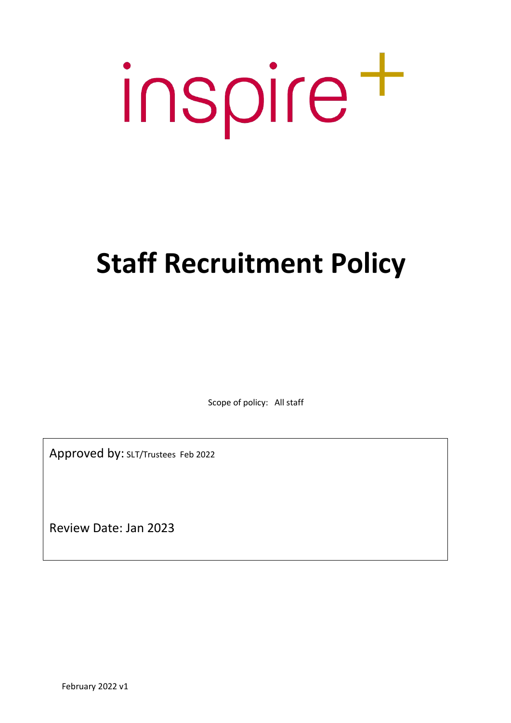# inspire t

## **Staff Recruitment Policy**

Scope of policy: All staff

Approved by: SLT/Trustees Feb 2022

Review Date: Jan 2023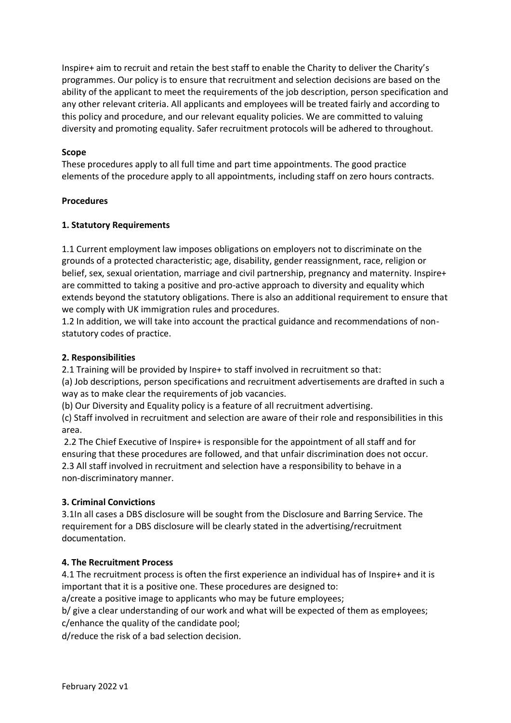Inspire+ aim to recruit and retain the best staff to enable the Charity to deliver the Charity's programmes. Our policy is to ensure that recruitment and selection decisions are based on the ability of the applicant to meet the requirements of the job description, person specification and any other relevant criteria. All applicants and employees will be treated fairly and according to this policy and procedure, and our relevant equality policies. We are committed to valuing diversity and promoting equality. Safer recruitment protocols will be adhered to throughout.

#### **Scope**

These procedures apply to all full time and part time appointments. The good practice elements of the procedure apply to all appointments, including staff on zero hours contracts.

#### **Procedures**

#### **1. Statutory Requirements**

1.1 Current employment law imposes obligations on employers not to discriminate on the grounds of a protected characteristic; age, disability, gender reassignment, race, religion or belief, sex, sexual orientation, marriage and civil partnership, pregnancy and maternity. Inspire+ are committed to taking a positive and pro-active approach to diversity and equality which extends beyond the statutory obligations. There is also an additional requirement to ensure that we comply with UK immigration rules and procedures.

1.2 In addition, we will take into account the practical guidance and recommendations of nonstatutory codes of practice.

#### **2. Responsibilities**

2.1 Training will be provided by Inspire+ to staff involved in recruitment so that:

(a) Job descriptions, person specifications and recruitment advertisements are drafted in such a way as to make clear the requirements of job vacancies.

(b) Our Diversity and Equality policy is a feature of all recruitment advertising.

(c) Staff involved in recruitment and selection are aware of their role and responsibilities in this area.

2.2 The Chief Executive of Inspire+ is responsible for the appointment of all staff and for ensuring that these procedures are followed, and that unfair discrimination does not occur. 2.3 All staff involved in recruitment and selection have a responsibility to behave in a non-discriminatory manner.

#### **3. Criminal Convictions**

3.1In all cases a DBS disclosure will be sought from the Disclosure and Barring Service. The requirement for a DBS disclosure will be clearly stated in the advertising/recruitment documentation.

#### **4. The Recruitment Process**

4.1 The recruitment process is often the first experience an individual has of Inspire+ and it is important that it is a positive one. These procedures are designed to:

a/create a positive image to applicants who may be future employees;

b/ give a clear understanding of our work and what will be expected of them as employees; c/enhance the quality of the candidate pool;

d/reduce the risk of a bad selection decision.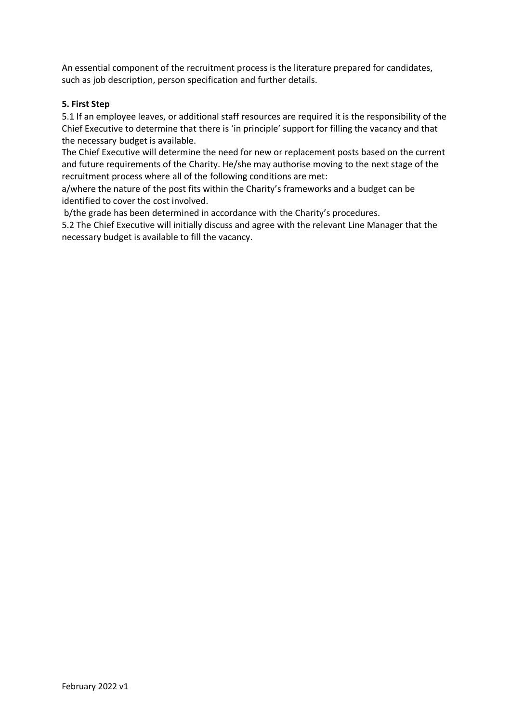An essential component of the recruitment process is the literature prepared for candidates, such as job description, person specification and further details.

#### **5. First Step**

5.1 If an employee leaves, or additional staff resources are required it is the responsibility of the Chief Executive to determine that there is 'in principle' support for filling the vacancy and that the necessary budget is available.

The Chief Executive will determine the need for new or replacement posts based on the current and future requirements of the Charity. He/she may authorise moving to the next stage of the recruitment process where all of the following conditions are met:

a/where the nature of the post fits within the Charity's frameworks and a budget can be identified to cover the cost involved.

b/the grade has been determined in accordance with the Charity's procedures.

5.2 The Chief Executive will initially discuss and agree with the relevant Line Manager that the necessary budget is available to fill the vacancy.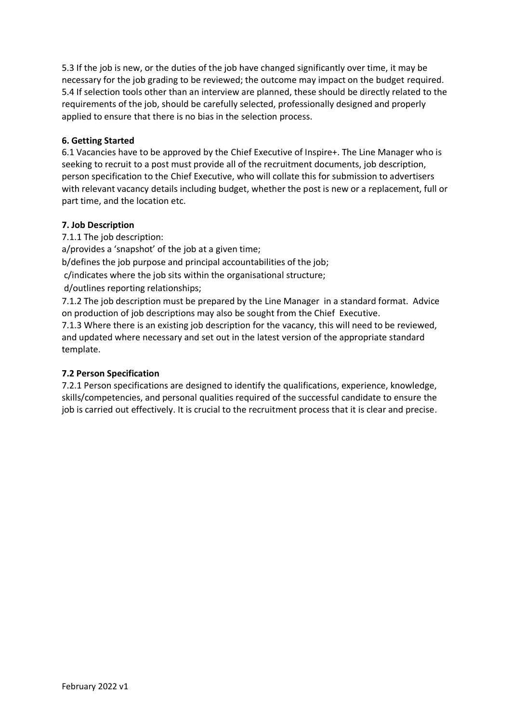5.3 If the job is new, or the duties of the job have changed significantly over time, it may be necessary for the job grading to be reviewed; the outcome may impact on the budget required. 5.4 If selection tools other than an interview are planned, these should be directly related to the requirements of the job, should be carefully selected, professionally designed and properly applied to ensure that there is no bias in the selection process.

#### **6. Getting Started**

6.1 Vacancies have to be approved by the Chief Executive of Inspire+. The Line Manager who is seeking to recruit to a post must provide all of the recruitment documents, job description, person specification to the Chief Executive, who will collate this for submission to advertisers with relevant vacancy details including budget, whether the post is new or a replacement, full or part time, and the location etc.

#### **7. Job Description**

7.1.1 The job description:

a/provides a 'snapshot' of the job at a given time;

b/defines the job purpose and principal accountabilities of the job;

c/indicates where the job sits within the organisational structure;

d/outlines reporting relationships;

7.1.2 The job description must be prepared by the Line Manager in a standard format. Advice on production of job descriptions may also be sought from the Chief Executive.

7.1.3 Where there is an existing job description for the vacancy, this will need to be reviewed, and updated where necessary and set out in the latest version of the appropriate standard template.

#### **7.2 Person Specification**

7.2.1 Person specifications are designed to identify the qualifications, experience, knowledge, skills/competencies, and personal qualities required of the successful candidate to ensure the job is carried out effectively. It is crucial to the recruitment process that it is clear and precise.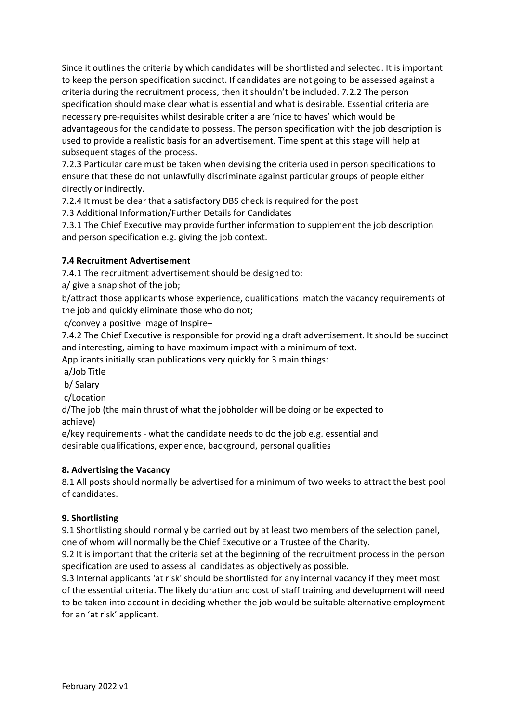Since it outlines the criteria by which candidates will be shortlisted and selected. It is important to keep the person specification succinct. If candidates are not going to be assessed against a criteria during the recruitment process, then it shouldn't be included. 7.2.2 The person specification should make clear what is essential and what is desirable. Essential criteria are necessary pre-requisites whilst desirable criteria are 'nice to haves' which would be advantageous for the candidate to possess. The person specification with the job description is used to provide a realistic basis for an advertisement. Time spent at this stage will help at subsequent stages of the process.

7.2.3 Particular care must be taken when devising the criteria used in person specifications to ensure that these do not unlawfully discriminate against particular groups of people either directly or indirectly.

7.2.4 It must be clear that a satisfactory DBS check is required for the post

7.3 Additional Information/Further Details for Candidates

7.3.1 The Chief Executive may provide further information to supplement the job description and person specification e.g. giving the job context.

#### **7.4 Recruitment Advertisement**

7.4.1 The recruitment advertisement should be designed to:

a/ give a snap shot of the job;

b/attract those applicants whose experience, qualifications match the vacancy requirements of the job and quickly eliminate those who do not;

c/convey a positive image of Inspire+

7.4.2 The Chief Executive is responsible for providing a draft advertisement. It should be succinct and interesting, aiming to have maximum impact with a minimum of text.

Applicants initially scan publications very quickly for 3 main things:

a/Job Title

b/ Salary

c/Location

d/The job (the main thrust of what the jobholder will be doing or be expected to achieve)

e/key requirements - what the candidate needs to do the job e.g. essential and desirable qualifications, experience, background, personal qualities

#### **8. Advertising the Vacancy**

8.1 All posts should normally be advertised for a minimum of two weeks to attract the best pool of candidates.

#### **9. Shortlisting**

9.1 Shortlisting should normally be carried out by at least two members of the selection panel, one of whom will normally be the Chief Executive or a Trustee of the Charity.

9.2 It is important that the criteria set at the beginning of the recruitment process in the person specification are used to assess all candidates as objectively as possible.

9.3 Internal applicants 'at risk' should be shortlisted for any internal vacancy if they meet most of the essential criteria. The likely duration and cost of staff training and development will need to be taken into account in deciding whether the job would be suitable alternative employment for an 'at risk' applicant.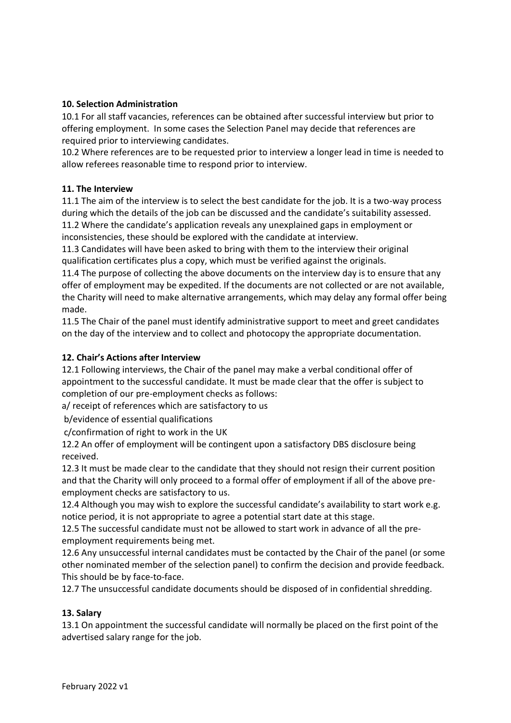#### **10. Selection Administration**

10.1 For all staff vacancies, references can be obtained after successful interview but prior to offering employment. In some cases the Selection Panel may decide that references are required prior to interviewing candidates.

10.2 Where references are to be requested prior to interview a longer lead in time is needed to allow referees reasonable time to respond prior to interview.

#### **11. The Interview**

11.1 The aim of the interview is to select the best candidate for the job. It is a two-way process during which the details of the job can be discussed and the candidate's suitability assessed. 11.2 Where the candidate's application reveals any unexplained gaps in employment or inconsistencies, these should be explored with the candidate at interview.

11.3 Candidates will have been asked to bring with them to the interview their original qualification certificates plus a copy, which must be verified against the originals.

11.4 The purpose of collecting the above documents on the interview day is to ensure that any offer of employment may be expedited. If the documents are not collected or are not available, the Charity will need to make alternative arrangements, which may delay any formal offer being made.

11.5 The Chair of the panel must identify administrative support to meet and greet candidates on the day of the interview and to collect and photocopy the appropriate documentation.

#### **12. Chair's Actions after Interview**

12.1 Following interviews, the Chair of the panel may make a verbal conditional offer of appointment to the successful candidate. It must be made clear that the offer is subject to completion of our pre-employment checks as follows:

a/ receipt of references which are satisfactory to us

b/evidence of essential qualifications

c/confirmation of right to work in the UK

12.2 An offer of employment will be contingent upon a satisfactory DBS disclosure being received.

12.3 It must be made clear to the candidate that they should not resign their current position and that the Charity will only proceed to a formal offer of employment if all of the above preemployment checks are satisfactory to us.

12.4 Although you may wish to explore the successful candidate's availability to start work e.g. notice period, it is not appropriate to agree a potential start date at this stage.

12.5 The successful candidate must not be allowed to start work in advance of all the preemployment requirements being met.

12.6 Any unsuccessful internal candidates must be contacted by the Chair of the panel (or some other nominated member of the selection panel) to confirm the decision and provide feedback. This should be by face-to-face.

12.7 The unsuccessful candidate documents should be disposed of in confidential shredding.

#### **13. Salary**

13.1 On appointment the successful candidate will normally be placed on the first point of the advertised salary range for the job.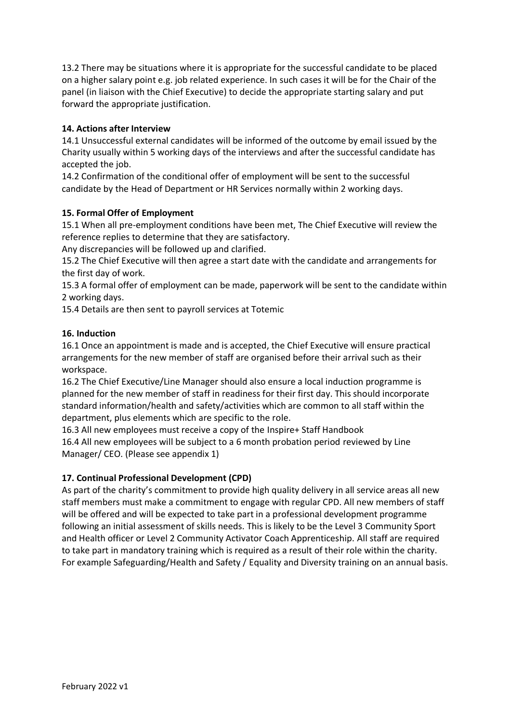13.2 There may be situations where it is appropriate for the successful candidate to be placed on a higher salary point e.g. job related experience. In such cases it will be for the Chair of the panel (in liaison with the Chief Executive) to decide the appropriate starting salary and put forward the appropriate justification.

#### **14. Actions after Interview**

14.1 Unsuccessful external candidates will be informed of the outcome by email issued by the Charity usually within 5 working days of the interviews and after the successful candidate has accepted the job.

14.2 Confirmation of the conditional offer of employment will be sent to the successful candidate by the Head of Department or HR Services normally within 2 working days.

#### **15. Formal Offer of Employment**

15.1 When all pre-employment conditions have been met, The Chief Executive will review the reference replies to determine that they are satisfactory.

Any discrepancies will be followed up and clarified.

15.2 The Chief Executive will then agree a start date with the candidate and arrangements for the first day of work.

15.3 A formal offer of employment can be made, paperwork will be sent to the candidate within 2 working days.

15.4 Details are then sent to payroll services at Totemic

#### **16. Induction**

16.1 Once an appointment is made and is accepted, the Chief Executive will ensure practical arrangements for the new member of staff are organised before their arrival such as their workspace.

16.2 The Chief Executive/Line Manager should also ensure a local induction programme is planned for the new member of staff in readiness for their first day. This should incorporate standard information/health and safety/activities which are common to all staff within the department, plus elements which are specific to the role.

16.3 All new employees must receive a copy of the Inspire+ Staff Handbook 16.4 All new employees will be subject to a 6 month probation period reviewed by Line Manager/ CEO. (Please see appendix 1)

#### **17. Continual Professional Development (CPD)**

As part of the charity's commitment to provide high quality delivery in all service areas all new staff members must make a commitment to engage with regular CPD. All new members of staff will be offered and will be expected to take part in a professional development programme following an initial assessment of skills needs. This is likely to be the Level 3 Community Sport and Health officer or Level 2 Community Activator Coach Apprenticeship. All staff are required to take part in mandatory training which is required as a result of their role within the charity. For example Safeguarding/Health and Safety / Equality and Diversity training on an annual basis.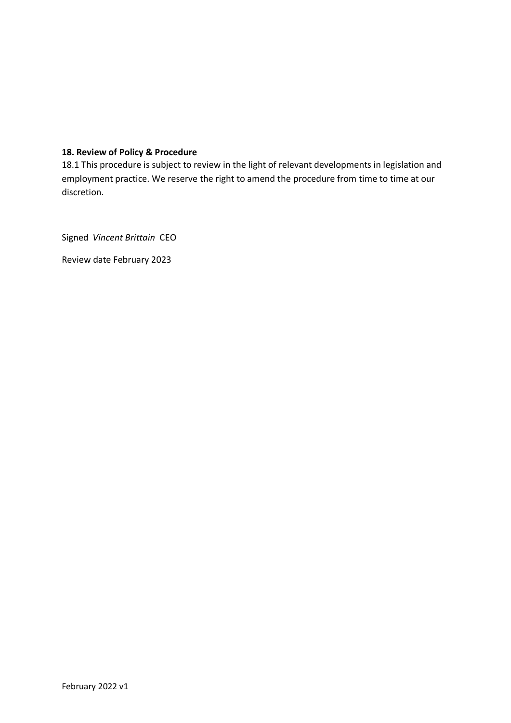#### **18. Review of Policy & Procedure**

18.1 This procedure is subject to review in the light of relevant developments in legislation and employment practice. We reserve the right to amend the procedure from time to time at our discretion.

Signed *Vincent Brittain* CEO

Review date February 2023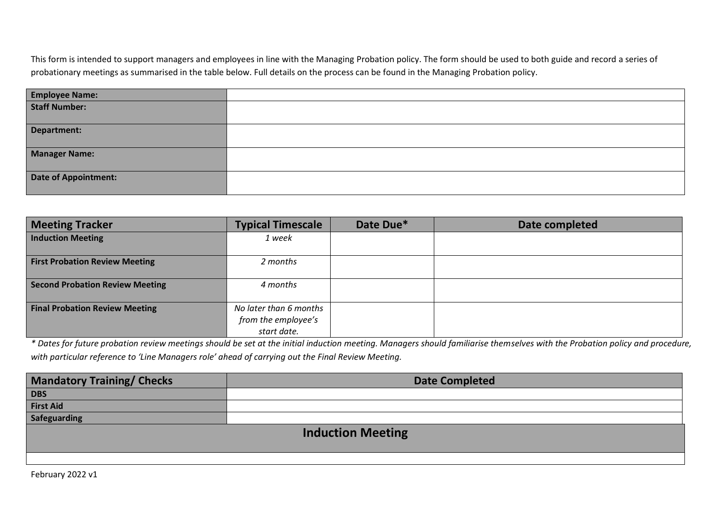This form is intended to support managers and employees in line with the Managing Probation policy. The form should be used to both guide and record a series of probationary meetings as summarised in the table below. Full details on the process can be found in the Managing Probation policy.

| <b>Employee Name:</b>       |  |
|-----------------------------|--|
| <b>Staff Number:</b>        |  |
|                             |  |
| Department:                 |  |
|                             |  |
| <b>Manager Name:</b>        |  |
|                             |  |
| <b>Date of Appointment:</b> |  |
|                             |  |

| <b>Meeting Tracker</b>                 | <b>Typical Timescale</b>                                     | Date Due* | Date completed |
|----------------------------------------|--------------------------------------------------------------|-----------|----------------|
| <b>Induction Meeting</b>               | 1 week                                                       |           |                |
| <b>First Probation Review Meeting</b>  | 2 months                                                     |           |                |
| <b>Second Probation Review Meeting</b> | 4 months                                                     |           |                |
| <b>Final Probation Review Meeting</b>  | No later than 6 months<br>from the employee's<br>start date. |           |                |

*\* Dates for future probation review meetings should be set at the initial induction meeting. Managers should familiarise themselves with the Probation policy and procedure, with particular reference to 'Line Managers role' ahead of carrying out the Final Review Meeting.*

| <b>Mandatory Training/ Checks</b> | <b>Date Completed</b> |  |  |  |  |
|-----------------------------------|-----------------------|--|--|--|--|
| <b>DBS</b>                        |                       |  |  |  |  |
| <b>First Aid</b>                  |                       |  |  |  |  |
| Safeguarding                      |                       |  |  |  |  |
| <b>Induction Meeting</b>          |                       |  |  |  |  |
|                                   |                       |  |  |  |  |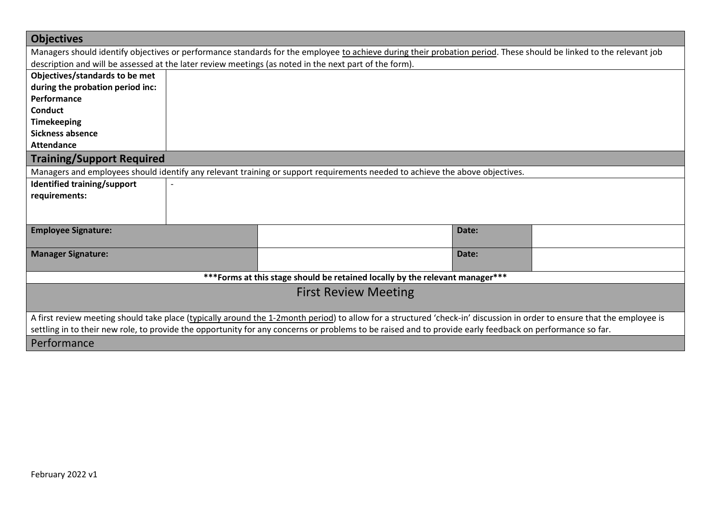| <b>Objectives</b>                                                                                                                                                       |                                                                                                                                                                    |                                                                                                                                                          |       |  |  |  |
|-------------------------------------------------------------------------------------------------------------------------------------------------------------------------|--------------------------------------------------------------------------------------------------------------------------------------------------------------------|----------------------------------------------------------------------------------------------------------------------------------------------------------|-------|--|--|--|
|                                                                                                                                                                         | Managers should identify objectives or performance standards for the employee to achieve during their probation period. These should be linked to the relevant job |                                                                                                                                                          |       |  |  |  |
|                                                                                                                                                                         |                                                                                                                                                                    | description and will be assessed at the later review meetings (as noted in the next part of the form).                                                   |       |  |  |  |
| Objectives/standards to be met                                                                                                                                          |                                                                                                                                                                    |                                                                                                                                                          |       |  |  |  |
| during the probation period inc:                                                                                                                                        |                                                                                                                                                                    |                                                                                                                                                          |       |  |  |  |
| Performance                                                                                                                                                             |                                                                                                                                                                    |                                                                                                                                                          |       |  |  |  |
| <b>Conduct</b>                                                                                                                                                          |                                                                                                                                                                    |                                                                                                                                                          |       |  |  |  |
| <b>Timekeeping</b>                                                                                                                                                      |                                                                                                                                                                    |                                                                                                                                                          |       |  |  |  |
| <b>Sickness absence</b>                                                                                                                                                 |                                                                                                                                                                    |                                                                                                                                                          |       |  |  |  |
| <b>Attendance</b>                                                                                                                                                       |                                                                                                                                                                    |                                                                                                                                                          |       |  |  |  |
| <b>Training/Support Required</b>                                                                                                                                        |                                                                                                                                                                    |                                                                                                                                                          |       |  |  |  |
|                                                                                                                                                                         |                                                                                                                                                                    | Managers and employees should identify any relevant training or support requirements needed to achieve the above objectives.                             |       |  |  |  |
| Identified training/support                                                                                                                                             |                                                                                                                                                                    |                                                                                                                                                          |       |  |  |  |
| requirements:                                                                                                                                                           |                                                                                                                                                                    |                                                                                                                                                          |       |  |  |  |
|                                                                                                                                                                         |                                                                                                                                                                    |                                                                                                                                                          |       |  |  |  |
|                                                                                                                                                                         |                                                                                                                                                                    |                                                                                                                                                          |       |  |  |  |
| <b>Employee Signature:</b>                                                                                                                                              |                                                                                                                                                                    |                                                                                                                                                          | Date: |  |  |  |
|                                                                                                                                                                         |                                                                                                                                                                    |                                                                                                                                                          |       |  |  |  |
| <b>Manager Signature:</b>                                                                                                                                               |                                                                                                                                                                    |                                                                                                                                                          | Date: |  |  |  |
|                                                                                                                                                                         |                                                                                                                                                                    | *** Forms at this stage should be retained locally by the relevant manager***                                                                            |       |  |  |  |
|                                                                                                                                                                         |                                                                                                                                                                    |                                                                                                                                                          |       |  |  |  |
|                                                                                                                                                                         |                                                                                                                                                                    | <b>First Review Meeting</b>                                                                                                                              |       |  |  |  |
|                                                                                                                                                                         |                                                                                                                                                                    |                                                                                                                                                          |       |  |  |  |
| A first review meeting should take place (typically around the 1-2month period) to allow for a structured 'check-in' discussion in order to ensure that the employee is |                                                                                                                                                                    |                                                                                                                                                          |       |  |  |  |
|                                                                                                                                                                         |                                                                                                                                                                    | settling in to their new role, to provide the opportunity for any concerns or problems to be raised and to provide early feedback on performance so far. |       |  |  |  |
| Performance                                                                                                                                                             |                                                                                                                                                                    |                                                                                                                                                          |       |  |  |  |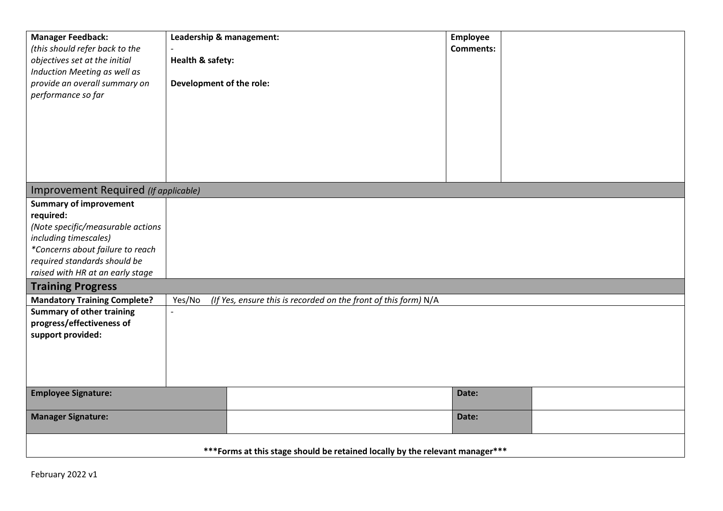| <b>Manager Feedback:</b>                                                      | Leadership & management:                                                  | <b>Employee</b>  |  |  |  |  |
|-------------------------------------------------------------------------------|---------------------------------------------------------------------------|------------------|--|--|--|--|
| (this should refer back to the                                                |                                                                           | <b>Comments:</b> |  |  |  |  |
| objectives set at the initial                                                 | Health & safety:                                                          |                  |  |  |  |  |
| Induction Meeting as well as                                                  |                                                                           |                  |  |  |  |  |
| provide an overall summary on                                                 | Development of the role:                                                  |                  |  |  |  |  |
| performance so far                                                            |                                                                           |                  |  |  |  |  |
|                                                                               |                                                                           |                  |  |  |  |  |
|                                                                               |                                                                           |                  |  |  |  |  |
|                                                                               |                                                                           |                  |  |  |  |  |
|                                                                               |                                                                           |                  |  |  |  |  |
|                                                                               |                                                                           |                  |  |  |  |  |
|                                                                               |                                                                           |                  |  |  |  |  |
|                                                                               |                                                                           |                  |  |  |  |  |
| Improvement Required (If applicable)                                          |                                                                           |                  |  |  |  |  |
| <b>Summary of improvement</b>                                                 |                                                                           |                  |  |  |  |  |
| required:                                                                     |                                                                           |                  |  |  |  |  |
| (Note specific/measurable actions                                             |                                                                           |                  |  |  |  |  |
| including timescales)                                                         |                                                                           |                  |  |  |  |  |
| *Concerns about failure to reach                                              |                                                                           |                  |  |  |  |  |
| required standards should be                                                  |                                                                           |                  |  |  |  |  |
| raised with HR at an early stage                                              |                                                                           |                  |  |  |  |  |
| <b>Training Progress</b>                                                      |                                                                           |                  |  |  |  |  |
| <b>Mandatory Training Complete?</b>                                           | (If Yes, ensure this is recorded on the front of this form) N/A<br>Yes/No |                  |  |  |  |  |
| Summary of other training                                                     | $\overline{\phantom{a}}$                                                  |                  |  |  |  |  |
| progress/effectiveness of                                                     |                                                                           |                  |  |  |  |  |
| support provided:                                                             |                                                                           |                  |  |  |  |  |
|                                                                               |                                                                           |                  |  |  |  |  |
|                                                                               |                                                                           |                  |  |  |  |  |
|                                                                               |                                                                           |                  |  |  |  |  |
|                                                                               |                                                                           |                  |  |  |  |  |
| <b>Employee Signature:</b>                                                    |                                                                           | Date:            |  |  |  |  |
| <b>Manager Signature:</b>                                                     |                                                                           | Date:            |  |  |  |  |
|                                                                               |                                                                           |                  |  |  |  |  |
| *** Forms at this stage should be retained locally by the relevant manager*** |                                                                           |                  |  |  |  |  |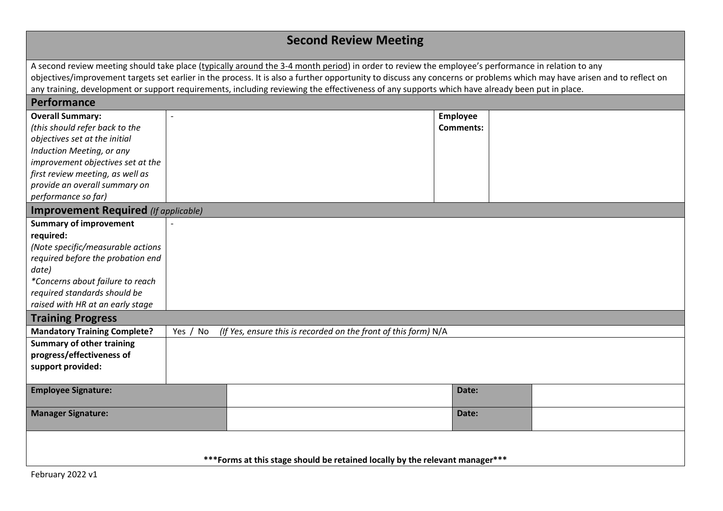| <b>Second Review Meeting</b>                                                                                                                                                                                                                                                                                                                                                                                                                                                    |          |                                                                 |                              |  |  |  |  |
|---------------------------------------------------------------------------------------------------------------------------------------------------------------------------------------------------------------------------------------------------------------------------------------------------------------------------------------------------------------------------------------------------------------------------------------------------------------------------------|----------|-----------------------------------------------------------------|------------------------------|--|--|--|--|
| A second review meeting should take place (typically around the 3-4 month period) in order to review the employee's performance in relation to any<br>objectives/improvement targets set earlier in the process. It is also a further opportunity to discuss any concerns or problems which may have arisen and to reflect on<br>any training, development or support requirements, including reviewing the effectiveness of any supports which have already been put in place. |          |                                                                 |                              |  |  |  |  |
| Performance                                                                                                                                                                                                                                                                                                                                                                                                                                                                     |          |                                                                 |                              |  |  |  |  |
| <b>Overall Summary:</b><br>(this should refer back to the<br>objectives set at the initial<br>Induction Meeting, or any<br>improvement objectives set at the<br>first review meeting, as well as<br>provide an overall summary on<br>performance so far)                                                                                                                                                                                                                        |          |                                                                 | Employee<br><b>Comments:</b> |  |  |  |  |
| <b>Improvement Required</b> (If applicable)                                                                                                                                                                                                                                                                                                                                                                                                                                     |          |                                                                 |                              |  |  |  |  |
| <b>Summary of improvement</b><br>required:<br>(Note specific/measurable actions<br>required before the probation end<br>date)<br>*Concerns about failure to reach<br>required standards should be<br>raised with HR at an early stage                                                                                                                                                                                                                                           |          |                                                                 |                              |  |  |  |  |
| <b>Training Progress</b>                                                                                                                                                                                                                                                                                                                                                                                                                                                        | Yes / No | (If Yes, ensure this is recorded on the front of this form) N/A |                              |  |  |  |  |
| <b>Mandatory Training Complete?</b><br><b>Summary of other training</b><br>progress/effectiveness of<br>support provided:                                                                                                                                                                                                                                                                                                                                                       |          |                                                                 |                              |  |  |  |  |
| <b>Employee Signature:</b>                                                                                                                                                                                                                                                                                                                                                                                                                                                      |          |                                                                 | Date:                        |  |  |  |  |
| <b>Manager Signature:</b>                                                                                                                                                                                                                                                                                                                                                                                                                                                       |          |                                                                 | Date:                        |  |  |  |  |
| *** Forms at this stage should be retained locally by the relevant manager***                                                                                                                                                                                                                                                                                                                                                                                                   |          |                                                                 |                              |  |  |  |  |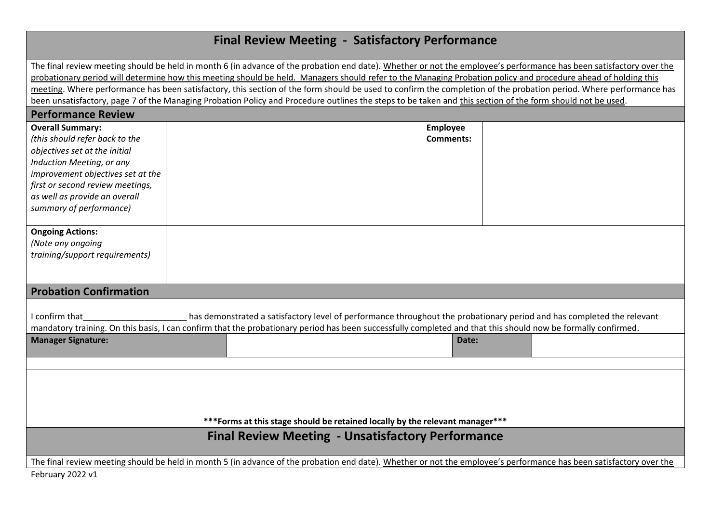### **Final Review Meeting - Satisfactory Performance**

The final review meeting should be held in month 6 (in advance of the probation end date). Whether or not the employee's performance has been satisfactory over the probationary period will determine how this meeting should be held. Managers should refer to the Managing Probation policy and procedure ahead of holding this meeting. Where performance has been satisfactory, this section of the form should be used to confirm the completion of the probation period. Where performance has been unsatisfactory, page 7 of the Managing Probation Policy and Procedure outlines the steps to be taken and this section of the form should not be used.

| <b>Performance Review</b>                                                                                                                                           |  |                                                                                                                        |  |                  |  |  |  |
|---------------------------------------------------------------------------------------------------------------------------------------------------------------------|--|------------------------------------------------------------------------------------------------------------------------|--|------------------|--|--|--|
| <b>Overall Summary:</b>                                                                                                                                             |  |                                                                                                                        |  | <b>Employee</b>  |  |  |  |
| (this should refer back to the                                                                                                                                      |  |                                                                                                                        |  | <b>Comments:</b> |  |  |  |
| objectives set at the initial                                                                                                                                       |  |                                                                                                                        |  |                  |  |  |  |
| Induction Meeting, or any                                                                                                                                           |  |                                                                                                                        |  |                  |  |  |  |
| improvement objectives set at the                                                                                                                                   |  |                                                                                                                        |  |                  |  |  |  |
| first or second review meetings,                                                                                                                                    |  |                                                                                                                        |  |                  |  |  |  |
| as well as provide an overall                                                                                                                                       |  |                                                                                                                        |  |                  |  |  |  |
| summary of performance)                                                                                                                                             |  |                                                                                                                        |  |                  |  |  |  |
|                                                                                                                                                                     |  |                                                                                                                        |  |                  |  |  |  |
| <b>Ongoing Actions:</b>                                                                                                                                             |  |                                                                                                                        |  |                  |  |  |  |
| (Note any ongoing                                                                                                                                                   |  |                                                                                                                        |  |                  |  |  |  |
| training/support requirements)                                                                                                                                      |  |                                                                                                                        |  |                  |  |  |  |
|                                                                                                                                                                     |  |                                                                                                                        |  |                  |  |  |  |
| <b>Probation Confirmation</b>                                                                                                                                       |  |                                                                                                                        |  |                  |  |  |  |
|                                                                                                                                                                     |  |                                                                                                                        |  |                  |  |  |  |
| I confirm that                                                                                                                                                      |  | has demonstrated a satisfactory level of performance throughout the probationary period and has completed the relevant |  |                  |  |  |  |
| mandatory training. On this basis, I can confirm that the probationary period has been successfully completed and that this should now be formally confirmed.       |  |                                                                                                                        |  |                  |  |  |  |
| <b>Manager Signature:</b>                                                                                                                                           |  |                                                                                                                        |  | Date:            |  |  |  |
|                                                                                                                                                                     |  |                                                                                                                        |  |                  |  |  |  |
|                                                                                                                                                                     |  |                                                                                                                        |  |                  |  |  |  |
|                                                                                                                                                                     |  |                                                                                                                        |  |                  |  |  |  |
|                                                                                                                                                                     |  |                                                                                                                        |  |                  |  |  |  |
|                                                                                                                                                                     |  |                                                                                                                        |  |                  |  |  |  |
|                                                                                                                                                                     |  |                                                                                                                        |  |                  |  |  |  |
| *** Forms at this stage should be retained locally by the relevant manager***                                                                                       |  |                                                                                                                        |  |                  |  |  |  |
| <b>Final Review Meeting - Unsatisfactory Performance</b>                                                                                                            |  |                                                                                                                        |  |                  |  |  |  |
|                                                                                                                                                                     |  |                                                                                                                        |  |                  |  |  |  |
| The final review meeting should be held in month 5 (in advance of the probation end date). Whether or not the employee's performance has been satisfactory over the |  |                                                                                                                        |  |                  |  |  |  |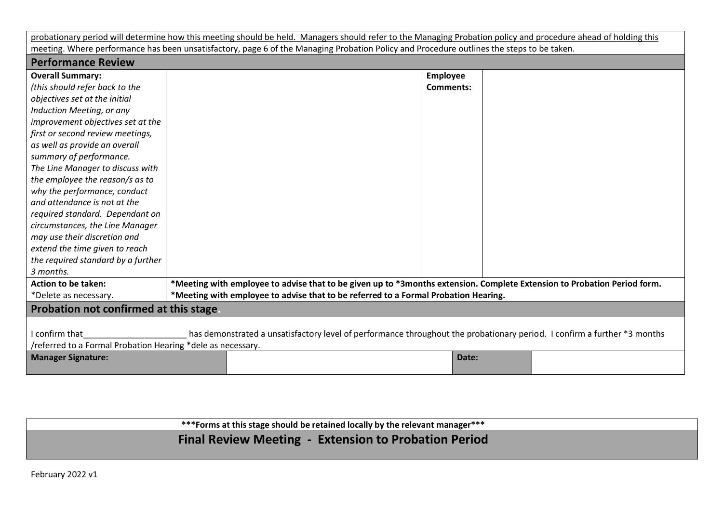probationary period will determine how this meeting should be held. Managers should refer to the Managing Probation policy and procedure ahead of holding this meeting. Where performance has been unsatisfactory, page 6 of the Managing Probation Policy and Procedure outlines the steps to be taken.

| <b>Performance Review</b>                                                                                                                  |  |                                                                                                                          |                  |  |  |  |
|--------------------------------------------------------------------------------------------------------------------------------------------|--|--------------------------------------------------------------------------------------------------------------------------|------------------|--|--|--|
| <b>Overall Summary:</b>                                                                                                                    |  |                                                                                                                          | Employee         |  |  |  |
| (this should refer back to the                                                                                                             |  |                                                                                                                          | <b>Comments:</b> |  |  |  |
| objectives set at the initial                                                                                                              |  |                                                                                                                          |                  |  |  |  |
| Induction Meeting, or any                                                                                                                  |  |                                                                                                                          |                  |  |  |  |
| improvement objectives set at the                                                                                                          |  |                                                                                                                          |                  |  |  |  |
| first or second review meetings,                                                                                                           |  |                                                                                                                          |                  |  |  |  |
| as well as provide an overall                                                                                                              |  |                                                                                                                          |                  |  |  |  |
| summary of performance.                                                                                                                    |  |                                                                                                                          |                  |  |  |  |
| The Line Manager to discuss with                                                                                                           |  |                                                                                                                          |                  |  |  |  |
| the employee the reason/s as to                                                                                                            |  |                                                                                                                          |                  |  |  |  |
| why the performance, conduct                                                                                                               |  |                                                                                                                          |                  |  |  |  |
| and attendance is not at the                                                                                                               |  |                                                                                                                          |                  |  |  |  |
| required standard. Dependant on                                                                                                            |  |                                                                                                                          |                  |  |  |  |
| circumstances, the Line Manager                                                                                                            |  |                                                                                                                          |                  |  |  |  |
| may use their discretion and                                                                                                               |  |                                                                                                                          |                  |  |  |  |
| extend the time given to reach                                                                                                             |  |                                                                                                                          |                  |  |  |  |
| the required standard by a further                                                                                                         |  |                                                                                                                          |                  |  |  |  |
| 3 months.                                                                                                                                  |  |                                                                                                                          |                  |  |  |  |
| Action to be taken:                                                                                                                        |  | *Meeting with employee to advise that to be given up to *3months extension. Complete Extension to Probation Period form. |                  |  |  |  |
| *Delete as necessary.                                                                                                                      |  | *Meeting with employee to advise that to be referred to a Formal Probation Hearing.                                      |                  |  |  |  |
| Probation not confirmed at this stage.                                                                                                     |  |                                                                                                                          |                  |  |  |  |
|                                                                                                                                            |  |                                                                                                                          |                  |  |  |  |
| I confirm that<br>has demonstrated a unsatisfactory level of performance throughout the probationary period. I confirm a further *3 months |  |                                                                                                                          |                  |  |  |  |
| /referred to a Formal Probation Hearing *dele as necessary.                                                                                |  |                                                                                                                          |                  |  |  |  |
| <b>Manager Signature:</b>                                                                                                                  |  |                                                                                                                          | Date:            |  |  |  |
|                                                                                                                                            |  |                                                                                                                          |                  |  |  |  |

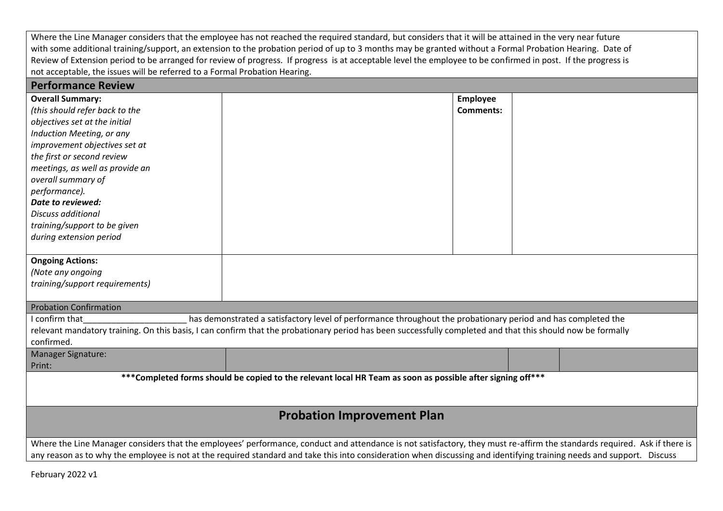Where the Line Manager considers that the employee has not reached the required standard, but considers that it will be attained in the very near future with some additional training/support, an extension to the probation period of up to 3 months may be granted without a Formal Probation Hearing. Date of Review of Extension period to be arranged for review of progress. If progress is at acceptable level the employee to be confirmed in post. If the progress is not acceptable, the issues will be referred to a Formal Probation Hearing.

| <b>Performance Review</b>       |                                                                                                                                                                           |                  |  |
|---------------------------------|---------------------------------------------------------------------------------------------------------------------------------------------------------------------------|------------------|--|
| <b>Overall Summary:</b>         |                                                                                                                                                                           | <b>Employee</b>  |  |
| (this should refer back to the  |                                                                                                                                                                           | <b>Comments:</b> |  |
| objectives set at the initial   |                                                                                                                                                                           |                  |  |
| Induction Meeting, or any       |                                                                                                                                                                           |                  |  |
| improvement objectives set at   |                                                                                                                                                                           |                  |  |
| the first or second review      |                                                                                                                                                                           |                  |  |
| meetings, as well as provide an |                                                                                                                                                                           |                  |  |
| overall summary of              |                                                                                                                                                                           |                  |  |
| performance).                   |                                                                                                                                                                           |                  |  |
| Date to reviewed:               |                                                                                                                                                                           |                  |  |
| <b>Discuss additional</b>       |                                                                                                                                                                           |                  |  |
| training/support to be given    |                                                                                                                                                                           |                  |  |
| during extension period         |                                                                                                                                                                           |                  |  |
|                                 |                                                                                                                                                                           |                  |  |
| <b>Ongoing Actions:</b>         |                                                                                                                                                                           |                  |  |
| (Note any ongoing               |                                                                                                                                                                           |                  |  |
| training/support requirements)  |                                                                                                                                                                           |                  |  |
|                                 |                                                                                                                                                                           |                  |  |
| <b>Probation Confirmation</b>   |                                                                                                                                                                           |                  |  |
| I confirm that                  | has demonstrated a satisfactory level of performance throughout the probationary period and has completed the                                                             |                  |  |
|                                 | relevant mandatory training. On this basis, I can confirm that the probationary period has been successfully completed and that this should now be formally               |                  |  |
| confirmed.                      |                                                                                                                                                                           |                  |  |
| <b>Manager Signature:</b>       |                                                                                                                                                                           |                  |  |
| Print:                          |                                                                                                                                                                           |                  |  |
|                                 | *** Completed forms should be copied to the relevant local HR Team as soon as possible after signing off***                                                               |                  |  |
|                                 |                                                                                                                                                                           |                  |  |
|                                 |                                                                                                                                                                           |                  |  |
|                                 | <b>Probation Improvement Plan</b>                                                                                                                                         |                  |  |
|                                 |                                                                                                                                                                           |                  |  |
|                                 | Where the Line Manager considers that the employees' performance, conduct and attendance is not satisfactory, they must re-affirm the standards required. Ask if there is |                  |  |
|                                 | any reason as to why the employee is not at the required standard and take this into consideration when discussing and identifying training needs and support. Discuss    |                  |  |